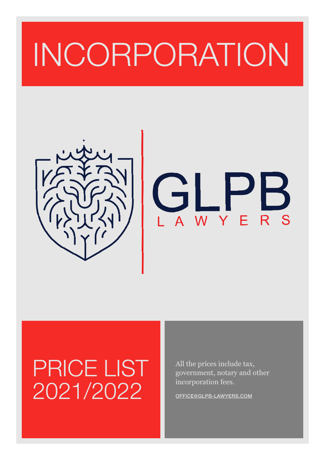## INCORPORATION





## PRICE LIST 2021/2022

All the prices include tax, government, notary and other incorporation fees.

[OFFICE@GLPB-LAWYERS.COM](mailto:office@glpb-lawyers.com)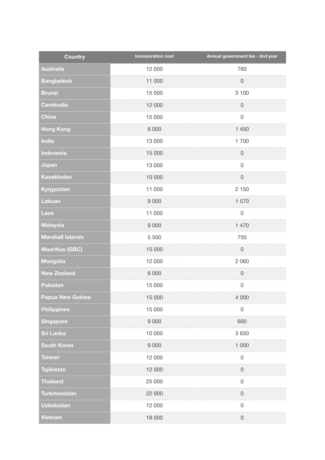| <b>Country</b>          | <b>Incorporation cost</b> | Annual government fee - 2nd year |
|-------------------------|---------------------------|----------------------------------|
| <b>Australia</b>        | 12 000                    | 760                              |
| <b>Bangladesh</b>       | 11 000                    | $\mathsf{O}\xspace$              |
| <b>Brunei</b>           | 15 000                    | 3 100                            |
| Cambodia                | 12 000                    | $\mathsf{O}\xspace$              |
| <b>China</b>            | 15 000                    | $\mathsf 0$                      |
| <b>Hong Kong</b>        | 6 0 0 0                   | 1 450                            |
| India                   | 13 000                    | 1700                             |
| Indonesia               | 15 000                    | $\mathsf{O}\xspace$              |
| Japan                   | 13 000                    | $\mathsf 0$                      |
| <b>Kazakhstan</b>       | 10 000                    | $\mathsf{O}\xspace$              |
| Kyrgyzstan              | 11 000                    | 2 150                            |
| Labuan                  | 9 0 0 0                   | 1570                             |
| <b>Laos</b>             | 11 000                    | $\mathsf{O}\xspace$              |
| <b>Malaysia</b>         | 9 0 0 0                   | 1 470                            |
| <b>Marshall Islands</b> | 5 5 0 0                   | 750                              |
| <b>Mauritius (GBC)</b>  | 15 000                    | $\mathsf{O}\xspace$              |
| <b>Mongolia</b>         | 12 000                    | 2 0 6 0                          |
| <b>New Zealand</b>      | 6 0 0 0                   | $\mathsf 0$                      |
| <b>Pakistan</b>         | 15 000                    | $\mathsf{O}\xspace$              |
| <b>Papua New Guinea</b> | 15 000                    | 4 0 0 0                          |
| <b>Philippines</b>      | 15 000                    | $\mathsf 0$                      |
| <b>Singapore</b>        | 9 0 0 0                   | 600                              |
| <b>Sri Lanka</b>        | 10 000                    | 3 6 5 0                          |
| <b>South Korea</b>      | 9 0 0 0                   | 1 0 0 0                          |
| <b>Taiwan</b>           | 12 000                    | $\mathsf 0$                      |
| <b>Tajikistan</b>       | 12 000                    | $\mathsf{O}\xspace$              |
| <b>Thailand</b>         | 25 000                    | $\mathsf 0$                      |
| <b>Turkmenistan</b>     | 22 000                    | $\mathsf 0$                      |
| <b>Uzbekistan</b>       | 12 000                    | $\mathsf 0$                      |
| Vietnam                 | 18 000                    | $\mathsf{O}\xspace$              |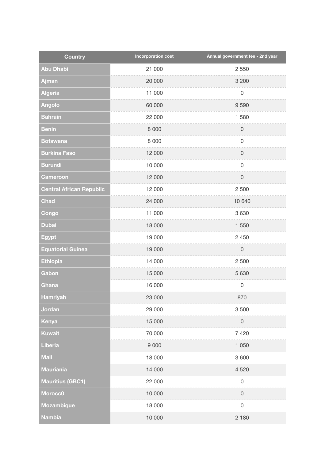| <b>Country</b>                  | <b>Incorporation cost</b> | Annual government fee - 2nd year |
|---------------------------------|---------------------------|----------------------------------|
| <b>Abu Dhabi</b>                | 21 000                    | 2 5 5 0                          |
| Ajman                           | 20 000                    | 3 200                            |
| <b>Algeria</b>                  | 11 000                    | $\mathsf 0$                      |
| <b>Angolo</b>                   | 60 000                    | 9590                             |
| <b>Bahrain</b>                  | 22 000                    | 1580                             |
| <b>Benin</b>                    | 8 0 0 0                   | $\mathsf 0$                      |
| <b>Botswana</b>                 | 8 0 0 0                   | $\mathsf 0$                      |
| <b>Burkina Faso</b>             | 12 000                    | $\mathsf 0$                      |
| <b>Burundi</b>                  | 10 000                    | $\mathsf 0$                      |
| <b>Cameroon</b>                 | 12 000                    | $\mathsf{O}\xspace$              |
| <b>Central African Republic</b> | 12 000                    | 2 500                            |
| <b>Chad</b>                     | 24 000                    | 10 640                           |
| Congo                           | 11 000                    | 3 6 3 0                          |
| <b>Dubai</b>                    | 18 000                    | 1 550                            |
| <b>Egypt</b>                    | 19 000                    | 2 4 5 0                          |
| <b>Equatorial Guinea</b>        | 19 000                    | $\mathsf{O}\xspace$              |
| <b>Ethiopia</b>                 | 14 000                    | 2 500                            |
| Gabon                           | 15 000                    | 5 6 3 0                          |
| Ghana                           | 16 000                    | $\mathsf{O}\xspace$              |
| <b>Hamriyah</b>                 | 23 000                    | 870                              |
| Jordan                          | 29 000                    | 3 500                            |
| Kenya                           | 15 000                    | $\mathsf{O}\xspace$              |
| <b>Kuwait</b>                   | 70 000                    | 7 4 2 0                          |
| Liberia                         | 9 0 0 0                   | 1 0 5 0                          |
| <b>Mali</b>                     | 18 000                    | 3 600                            |
| <b>Mauriania</b>                | 14 000                    | 4 5 20                           |
| <b>Mauritius (GBC1)</b>         | 22 000                    | $\mathsf 0$                      |
| Morocc0                         | 10 000                    | $\mathsf 0$                      |
| <b>Mozambique</b>               | 18 000                    | $\mathsf 0$                      |
| <b>Nambia</b>                   | 10 000                    | 2 180                            |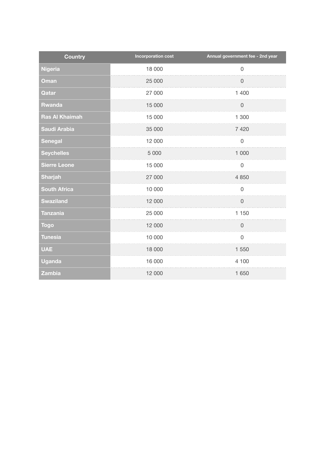| <b>Country</b>        | <b>Incorporation cost</b> | Annual government fee - 2nd year |
|-----------------------|---------------------------|----------------------------------|
| <b>Nigeria</b>        | 18 000                    | $\mathsf 0$                      |
| <b>Oman</b>           | 25 000                    | $\mathsf{O}\xspace$              |
| Qatar                 | 27 000                    | 1 400                            |
| <b>Rwanda</b>         | 15 000                    | $\mathsf{O}\xspace$              |
| <b>Ras Al Khaimah</b> | 15 000                    | 1 300                            |
| Saudi Arabia          | 35 000                    | 7 4 2 0                          |
| <b>Senegal</b>        | 12 000                    | $\mathsf 0$                      |
| <b>Seychelles</b>     | 5 0 0 0                   | 1 000                            |
| <b>Sierre Leone</b>   | 15 000                    | $\mathsf 0$                      |
| <b>Sharjah</b>        | 27 000                    | 4 8 5 0                          |
| <b>South Africa</b>   | 10 000                    | $\mathsf 0$                      |
| <b>Swaziland</b>      | 12 000                    | $\mathbf 0$                      |
| <b>Tanzania</b>       | 25 000                    | 1 150                            |
| <b>Togo</b>           | 12 000                    | $\mathsf{O}\xspace$              |
| <b>Tunesia</b>        | 10 000                    | $\mathbf 0$                      |
| <b>UAE</b>            | 18 000                    | 1 550                            |
| <b>Uganda</b>         | 16 000                    | 4 100                            |
| <b>Zambia</b>         | 12 000                    | 1 650                            |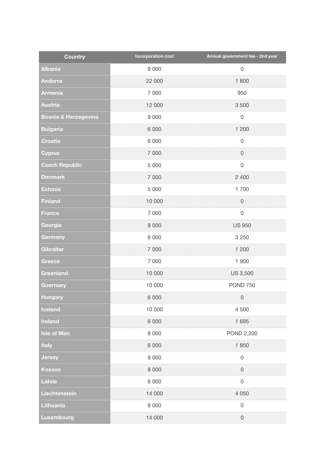| <b>Country</b>                  | <b>Incorporation cost</b> | Annual government fee - 2nd year |
|---------------------------------|---------------------------|----------------------------------|
| <b>Albania</b>                  | 9 0 0 0                   | $\mathsf 0$                      |
| <b>Andorra</b>                  | 22 000                    | 1800                             |
| <b>Armenia</b>                  | 7 0 0 0                   | 950                              |
| <b>Austria</b>                  | 12 000                    | 3 500                            |
| <b>Bosnia &amp; Herzegovina</b> | 9 0 0 0                   | $\mathsf 0$                      |
| <b>Bulgaria</b>                 | 6 0 0 0                   | 1 200                            |
| <b>Croatia</b>                  | 6 0 0 0                   | $\mathsf 0$                      |
| <b>Cyprus</b>                   | 7 000                     | $\mathbf 0$                      |
| <b>Czech Republic</b>           | 5 0 0 0                   | $\mathsf 0$                      |
| <b>Denmark</b>                  | 7 000                     | 2 400                            |
| <b>Estonia</b>                  | 5 0 0 0                   | 1700                             |
| <b>Finland</b>                  | 10 000                    | $\mathsf 0$                      |
| <b>France</b>                   | 7 0 0 0                   | $\mathsf{O}\xspace$              |
| Georgia                         | 8 0 0 0                   | <b>US 950</b>                    |
| Germany                         | 6 0 0 0                   | 3 2 5 0                          |
| <b>Gibraltar</b>                | 7 0 0 0                   | 1 200                            |
| <b>Greece</b>                   | 7 000                     | 1 900                            |
| Greenland                       | 10 000                    | <b>US 3,500</b>                  |
| <b>Guernsey</b>                 | 10 000                    | <b>POND 750</b>                  |
| Hungary                         | 6 0 0 0                   | 0                                |
| Iceland                         | 10 000                    | 4 500                            |
| <b>Ireland</b>                  | 6 0 0 0                   | 1 6 9 5                          |
| <b>Isle of Man</b>              | 8 0 0 0                   | POND 2,200                       |
| <b>Italy</b>                    | 6 0 0 0                   | 1850                             |
| <b>Jersey</b>                   | 9 0 0 0                   | $\mathsf 0$                      |
| Kosovo                          | 8 0 0 0                   | $\mathsf 0$                      |
| <b>Latvia</b>                   | 6 0 0 0                   | $\mathsf 0$                      |
| Liechtenstein                   | 14 000                    | 4 0 5 0                          |
| <b>Lithuania</b>                | 8 0 0 0                   | $\mathsf 0$                      |
| Luxembourg                      | 14 000                    | $\mathsf{O}$                     |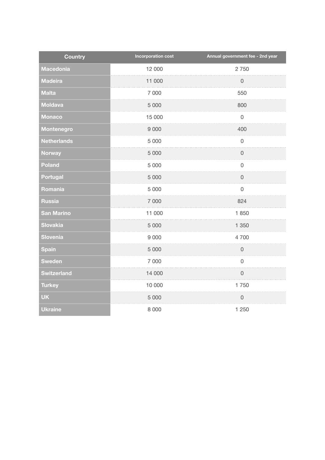| <b>Country</b>     | <b>Incorporation cost</b> | Annual government fee - 2nd year |
|--------------------|---------------------------|----------------------------------|
| <b>Macedonia</b>   | 12 000                    | 2750                             |
| <b>Madeira</b>     | 11 000                    | $\mathsf{O}\xspace$              |
| <b>Malta</b>       | 7 000                     | 550                              |
| <b>Moldava</b>     | 5 0 0 0                   | 800                              |
| <b>Monaco</b>      | 15 000                    | $\mathbf 0$                      |
| Montenegro         | 9 0 0 0                   | 400                              |
| <b>Netherlands</b> | 5 0 0 0                   | $\mathbf 0$                      |
| <b>Norway</b>      | 5 0 0 0                   | $\mathsf{O}\xspace$              |
| Poland             | 5 0 0 0                   | $\mathsf 0$                      |
| <b>Portugal</b>    | 5 0 0 0                   | $\mathsf 0$                      |
| Romania            | 5 0 0 0                   | $\mathsf{O}\xspace$              |
| <b>Russia</b>      | 7 000                     | 824                              |
| <b>San Marino</b>  | 11 000                    | 1850                             |
| <b>Slovakia</b>    | 5 0 0 0                   | 1 350                            |
| Slovenia           | 9 0 0 0                   | 4700                             |
| <b>Spain</b>       | 5 0 0 0                   | $\mathsf 0$                      |
| <b>Sweden</b>      | 7 000                     | $\mathbf 0$                      |
| <b>Switzerland</b> | 14 000                    | $\overline{0}$                   |
| <b>Turkey</b>      | 10 000                    | 1750                             |
| <b>UK</b>          | 5 0 0 0                   | $\mathsf 0$                      |
| <b>Ukraine</b>     | 8 0 0 0                   | 1 250                            |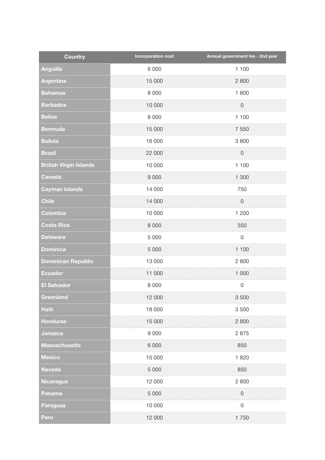| <b>Country</b>                | <b>Incorporation cost</b> | Annual government fee - 2nd year |
|-------------------------------|---------------------------|----------------------------------|
| <b>Anguilla</b>               | 6 0 0 0                   | 1 100                            |
| <b>Argentina</b>              | 15 000                    | 2 800                            |
| <b>Bahamas</b>                | 8 0 0 0                   | 1800                             |
| <b>Barbados</b>               | 10 000                    | $\mathsf{O}\xspace$              |
| <b>Belize</b>                 | 8 0 0 0                   | 1 100                            |
| <b>Bermuda</b>                | 15 000                    | 7 5 5 0                          |
| <b>Bolivia</b>                | 16 000                    | 3800                             |
| <b>Brazil</b>                 | 22 000                    | $\mathsf 0$                      |
| <b>British Virgin Islands</b> | 10 000                    | 1 100                            |
| <b>Canada</b>                 | 9 0 0 0                   | 1 300                            |
| <b>Cayman Islands</b>         | 14 000                    | 750                              |
| <b>Chile</b>                  | 14 000                    | $\mathsf 0$                      |
| Colombia                      | 10 000                    | 1 200                            |
| <b>Costa Rica</b>             | 8 0 0 0                   | 350                              |
| <b>Delaware</b>               | 5 0 0 0                   | $\mathsf{O}\xspace$              |
| <b>Dominica</b>               | 5 0 0 0                   | 1 100                            |
| <b>Dominican Republic</b>     | 13 000                    | 2 800                            |
| <b>Ecuador</b>                | 11 000                    | 1 000                            |
| <b>El Salvador</b>            | 8 0 0 0                   | $\mathsf{O}\xspace$              |
| Greenland                     | 12 000                    | 3 500                            |
| <b>Haiti</b>                  | 18 000                    | 3500                             |
| <b>Honduras</b>               | 15 000                    | 2 800                            |
| <b>Jamaica</b>                | 9 0 0 0                   | 2 8 7 5                          |
| <b>Massachusetts</b>          | 6 0 0 0                   | 850                              |
| <b>Mexico</b>                 | 15 000                    | 1820                             |
| <b>Nevada</b>                 | 5 0 0 0                   | 850                              |
| <b>Nicaragua</b>              | 12 000                    | 2 800                            |
| Panama                        | 5 0 0 0                   | $\mathsf{O}\xspace$              |
| <b>Paraguay</b>               | 10 000                    | $\mathsf 0$                      |
| Peru                          | 12 000                    | 1750                             |